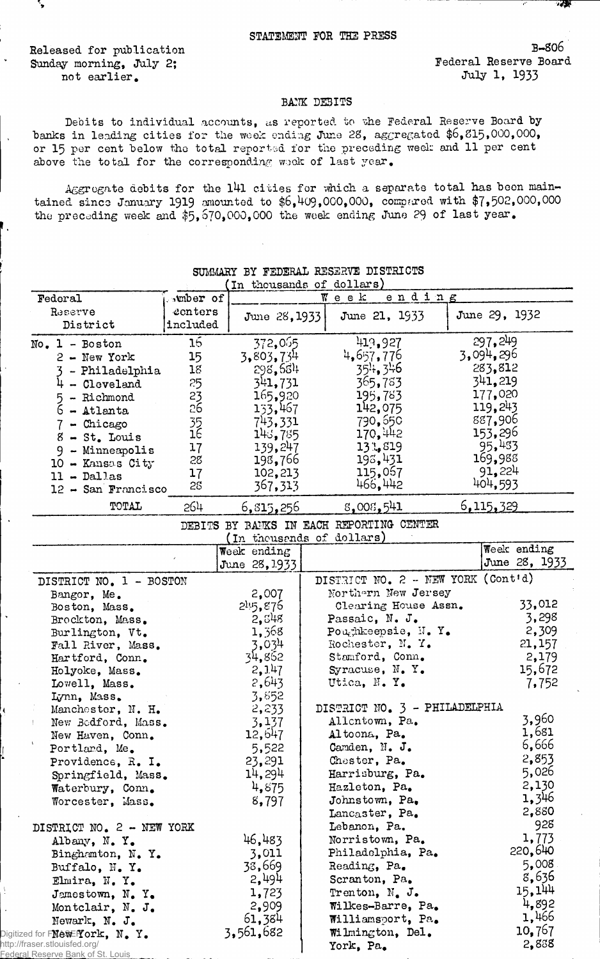Released for publication Sunday morning, July 2; not earlier.

۰,

B-806 Federal Reserve Board July 1, 1933

- 25

## BANK DEBITS

Debits to individual accounts, as reported to the Federal Reserve Board by banks in leading cities for the week ending June 28, aggregated \$6,815,000,000, or 15 per cent below the total reported for the preceding weak and 11 per cent above the total for the corresponding wook of last year.

Aggregate debits for the 141 cities for which a separate total has been maintained since January 1919 amounted to  $$6,409,000,000$ , compared with  $$7,502,000,000$ the preceding week and \$5,670,000,000 the week ending June 29 of last year.

|                                                                                                                                  |                 |               | In thousands of dollars)                 |               |
|----------------------------------------------------------------------------------------------------------------------------------|-----------------|---------------|------------------------------------------|---------------|
| Federal                                                                                                                          | wher of         |               | ending<br>$W$ eek                        |               |
| Reserve                                                                                                                          | eenters         |               | June 21, 1933                            | June 29, 1932 |
| District                                                                                                                         | included        | June 28, 1933 |                                          |               |
|                                                                                                                                  | 16              | 372,065       | 419,927                                  | 297, 249      |
| $No. 1 - Boston$                                                                                                                 |                 |               | 4,657,776                                | 3,094,296     |
| 2 - New York                                                                                                                     | 15              | 3,803,734     |                                          | 283,812       |
| - Philadelphia                                                                                                                   | 18              | 298,684       | 354, 346                                 |               |
| - Cleveland                                                                                                                      | 25              | 341,731       | 365,783                                  | 341,219       |
| - Richmond<br>5                                                                                                                  | 23<br>26        | 165,920       | 195,783                                  | 177,020       |
| 6<br>- Atlanta                                                                                                                   |                 | 133,467       | 142,075                                  | 119,243       |
| $7 -$ Chicago                                                                                                                    | $\frac{35}{16}$ | 743,331       | 790,650                                  | 887,906       |
| $8 - St.$ Louis                                                                                                                  |                 | 143,785       | 170,442                                  | 153,296       |
| 9 - Minneapolis                                                                                                                  | 17              | 139,247       | 13.5819                                  | 95,433        |
| 10 - Kansas City                                                                                                                 | 28              | 198,766       | 193,431                                  | 169,988       |
| $11 - Dallas$                                                                                                                    | 17              | 102,213       | 115,067                                  | 91,224        |
| $12 -$ San Francisco                                                                                                             | 28              | 367,313       | 466,442                                  | 404,593       |
| TOTAL                                                                                                                            | 264             | 6,815,256     | 8,008,541                                | 6, 115, 329   |
|                                                                                                                                  |                 |               | DEBITS BY BANKS IN EACH REPORTING CENTER |               |
|                                                                                                                                  |                 |               | (In thousends of dollars)                |               |
|                                                                                                                                  |                 | Week ending   |                                          | Week ending   |
|                                                                                                                                  |                 | June 28, 1933 |                                          | June 28, 1933 |
| DISTRICT NO. 1 - BOSTON                                                                                                          |                 |               | DISTRICT NO. 2 - NEW YORK (Cont'd)       |               |
| Bangor, Me.                                                                                                                      |                 | 2,007         | Northern New Jersey                      |               |
| Boston, Mass.                                                                                                                    |                 | 245,876       | Clearing House Assn.                     | 33,012        |
| Brockton, Mass.                                                                                                                  |                 | 2,548         | Passaic, N. J.                           | 3,298         |
| Burlington, Vt.                                                                                                                  |                 | 1,368         | Poughkeepsie, N.Y.                       | 2,309         |
| Fall River, Mass.                                                                                                                |                 | 3,034         | Rochester, N.Y.                          | 21,157        |
| Hartford, Conn.                                                                                                                  |                 | 34,862        | Stamford, Conn.                          | 2,179         |
| Holyoke, Mass.                                                                                                                   |                 | 2,147         | Syracuse, N.Y.                           | 15,672        |
| Lowell, Mass.                                                                                                                    |                 | 2,643         | Utica, N.Y.                              | 7,752         |
| Lynn, Mass.                                                                                                                      |                 | 3,852         |                                          |               |
| Manchester, N. H.                                                                                                                |                 | 2,233         | DISTRICT NO. 3 - PHILADELPHIA            |               |
| New Bodford, Mass.                                                                                                               |                 | 3,137         | Allentown, Pa.                           | 3,960         |
| New Haven, Conn.                                                                                                                 |                 | 12,647        | Altoona, Pa.                             | 1,681         |
| Portland, Me.                                                                                                                    |                 | 5,522         | Camden, N. J.                            | 6,666         |
| Providence, R. I.                                                                                                                |                 | 23,291        | Chester, Pa.                             | 2,853         |
| Springfield, Mass.                                                                                                               |                 | 14,294        | Harrisburg, Pa.                          | 5,026         |
|                                                                                                                                  |                 | 4,875         | Hazleton, Pa.                            | 2,130         |
| Waterbury, Conn.                                                                                                                 |                 | 8,797         | Johnstown, Pa.                           | 1,346         |
| Worcester, Mass.                                                                                                                 |                 |               | Lancaster, Pa.                           | 2,880         |
| DISTRICT NO. 2 - NEW YORK                                                                                                        |                 |               | Lebanon, Pa.                             | 928           |
| Albany, N.Y.                                                                                                                     |                 | 46,483        | Norristown, Pa.                          | 1,773         |
| Binghamton, N.Y.                                                                                                                 |                 | 3,011         | Philadelphia, Pa.                        | 220,640       |
| Buffalo, N.Y.                                                                                                                    |                 | 38,669        | Reading, Pa.                             | 5,008         |
| Elmira, N.Y.                                                                                                                     |                 | 2,494         | Scranton, Pa.                            | 8,636         |
|                                                                                                                                  |                 | 1,723         | Trenton, N. J.                           | 15,144        |
| Jamestown, N. Y.                                                                                                                 |                 | 2,909         | Wilkes-Barre, Pa.                        | 4,892         |
| Montclair, N. J.                                                                                                                 |                 | 61,384        | Williamsport, Pa.                        | 1,466         |
| Newark, N. J.                                                                                                                    |                 | 3,561,682     |                                          | 10,767        |
| Digitized for $\mathbb{N}$ êWE $\mathbb{Y}$ or $\mathbb{k},\ \mathbb{N}$ . $\mathbb{Y}_\bullet$<br>http://fraser.stlouisfed.org/ |                 |               | Wilmington, Del.                         | 2,838         |
| Federal Reserve Bank of St. Louis                                                                                                |                 |               | York, Pa.                                |               |

SUMMARY BY FEDERAL RESERVE DISTRICTS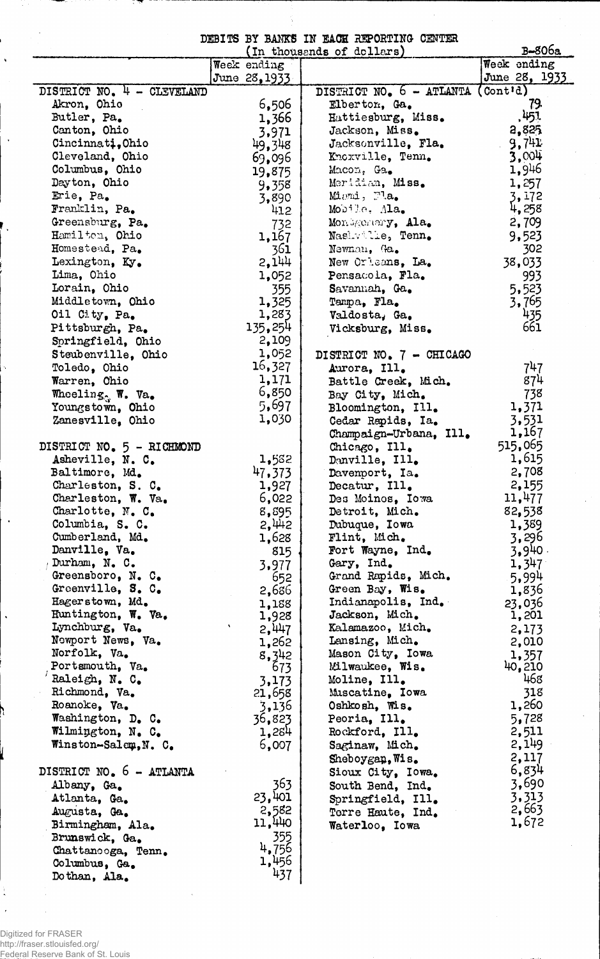DEBITS BY BAMS IN EACH REPORTING CENTER

|                            |                 | (In thousands of dollars)   | B <del>-</del> 806a                 |
|----------------------------|-----------------|-----------------------------|-------------------------------------|
|                            | Week ending     |                             | Week ending                         |
|                            | June 28, 1933   |                             | June 28, 1933                       |
| DISTRICT NO. 4 - CLEVELAND |                 | DISTRICT NO. 6 - ATLANTA    | $($ Cont <sup><math>d)</math></sup> |
| Akron, Ohio                | 6,506           | Elberton, Ga.               | 79,                                 |
| Butler, Pa.                | 1,366           | Hattiesburg, Miss.          | ,451                                |
| Canton, Ohio               | 3,971           | Jackson, Miss.              | 2,825                               |
| Cincinnati, Ohio           | 49,348          | Jacksonville, Fla.          | 9,741                               |
| Cleveland, Ohio            | 69,096          | Knoxville, Tenn.            | 3,004                               |
| Columbus, Ohio             | 19,875          | Macon, Ga.                  | 1,946                               |
| Dayton, Ohio               | 9,358           | Meridian, Miss.             | 1,257                               |
| Erie, Pa.                  |                 | $Minmi$ , $Ta_{\bullet}$    | 3,172                               |
| Franklin, Pa.              | 3,890           | Mobile, Ala.                | 4,258                               |
|                            | 412             |                             |                                     |
| Greensburg, Pa.            | 732             | Mondgemery, Ala.            | 2,709                               |
| Hamilten, Ohio             | 1,167           | Nashwille, Tenn.            | 9,523                               |
| Homestead, Pa.             | 361             | Newnan, Ga.                 | 302                                 |
| Lexington, Ky.             | 2,144           | New Orleans, La.            | 38,033                              |
| Lima, Ohio                 | 1,052           | Pensacola, Fla.             | 993                                 |
| Lorain, Ohio               | 355             | Savannah, Ga.               | 5,523                               |
| Middletown, Ohio           | 1,325           | Tampa, Fla.                 | 3,765                               |
| Oil City, Pa.              | 1,283           | Valdosta, Ga.               | 435                                 |
| Pittsburgh, Pa.            | 135,254         | Vicksburg, Miss.            | 661                                 |
| Springfield, Ohio          | 2,109           |                             |                                     |
| Steubenville, Ohio         | 1,052           | DISTRICT NO. 7 - CHICAGO    |                                     |
| Toledo, Ohio               | 16,327          | Aurora, Ill.                | 747                                 |
| Warren, Ohio               | 1,171           | Battle Creek, Mich.         | 874                                 |
|                            | 6,850           |                             |                                     |
| Wheeling W. Va.            | 5,697           | Bay City, Mich.             | 738                                 |
| Youngstown, Ohio           |                 | Bloomington, Ill.           | 1,371                               |
| Zanesville, Ohio           | 1,030           | Cedar Rapids, Ia.           | 3,531                               |
|                            |                 | Champaign-Urbana, Ill.      | 1,167                               |
| DISTRICT NO. 5 - RICHMOND  |                 | Chicago, Ill.               | 515,065                             |
| Asheville, N. C.           | 1,582           | Danville, Ill.              | 1,615                               |
| Baltimore, Md.             | 47,373          | Davenport, Ia.              | 2,708                               |
| Charleston, S. C.          | 1,927           | Decatur, Ill.               | 2,155                               |
| Charleston, W. Va.         | 6,022           | Des Moinos, Iowa            | 11,477                              |
| Charlotte, N. C.           | 8,595           | Detroit, Mich.              | 82,538                              |
| Columbia, S. C.            | 2,442           | Dubuque, Iowa               | 1,389                               |
| Cumberland, Md.            | 1,628           | Flint, Mich.                | 3,296                               |
| Danville, Va.              | 815             | Fort Wayne, Ind.            | 3,940.                              |
| Durham, N. C.              | 3,977           | Gary, Ind.                  | 1,347                               |
| Greensboro, N. C.          | 652             | Grand Rapids, Mich.         | 5,994                               |
| Greenville, S. C.          | 2,686           | Green Bay, Wis.             | 1,836                               |
| Hagerstown, Md.            |                 | Indianapolis, Ind.          | 23,036                              |
| Huntington, W. Va.         | 1,188           | Jackson, Mich.              | 1,201                               |
| Lynchburg, Va.             | 1,928           | Kalamazoo, Mich.            |                                     |
| Newport News, Va.          | 2,447           |                             | 2,173                               |
| Norfolk, Va.               | 1,262           | Lansing, Mich.              | 2,010                               |
|                            | 8,342           | Mason City, Iowa            | 1,357                               |
| Portsmouth, Va.            | 673             | Milwaukee, Wis.             | 40,210                              |
| Raleigh, N. C.             | 3,173           | Moline, Ill.                | 468                                 |
| Richmond, Va.              | 21,658          | Muscatine, Iowa             | 318                                 |
| Roanoke, Va.               | 3,136           | Oshkosh, Wis.               | 1,260                               |
| Washington, D. C.          | 36,823          | Peoria, Ill.                | 5,728                               |
| Wilmington, N. C.          | 1,284           | Rockford, Ill.              | 2,511                               |
| Winston-Salem, N. C.       | 6,007           | Saginaw, Mich.              | 2,149                               |
|                            |                 | $\mathbb{S}$ heboygan, Wis. | 2,117                               |
| DISTRICT NO. 6 - ATLANTA   |                 | Sioux City, Iowa.           | 6,834                               |
| Albany, Ga.                | 363             | South Bend, Ind.            | 3,690                               |
| Atlanta, Ga.               | 23,401          | Springfield, Ill.           | 3,313                               |
| Augusta, Ga.               |                 | Terre Haute, Ind.           | 2,663                               |
| Birmingham, Ala.           | 2,582<br>11,440 |                             | 1,672                               |
| Brunswick, Ga.             | 355             | Waterloo, Iowa              |                                     |
|                            | 4,756           |                             |                                     |
| Chattanooga, Tenn.         | 1,456           |                             |                                     |
| Columbus, Ga.              | 437             |                             |                                     |
| Dothan, Ala.               |                 |                             |                                     |

 $\hat{\mathcal{A}}$ 

 $\frac{1}{\mathbf{A}}$ 

 $\bar{\mathbf{r}}$ 

l,  $\mathbf{v}$ 

 $\ddot{\phantom{0}}$ 

 $\bar{\lambda}$ 

 $\ddot{\phantom{1}}$